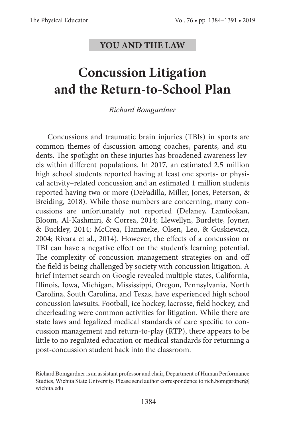## **YOU AND THE LAW**

## **Concussion Litigation and the Return-to-School Plan**

*Richard Bomgardner*

Concussions and traumatic brain injuries (TBIs) in sports are common themes of discussion among coaches, parents, and students. The spotlight on these injuries has broadened awareness levels within different populations. In 2017, an estimated 2.5 million high school students reported having at least one sports- or physical activity–related concussion and an estimated 1 million students reported having two or more (DePadilla, Miller, Jones, Peterson, & Breiding, 2018). While those numbers are concerning, many concussions are unfortunately not reported (Delaney, Lamfookan, Bloom, Al-Kashmiri, & Correa, 2014; Llewellyn, Burdette, Joyner, & Buckley, 2014; McCrea, Hammeke, Olsen, Leo, & Guskiewicz, 2004; Rivara et al., 2014). However, the effects of a concussion or TBI can have a negative effect on the student's learning potential. The complexity of concussion management strategies on and off the field is being challenged by society with concussion litigation. A brief Internet search on Google revealed multiple states, California, Illinois, Iowa, Michigan, Mississippi, Oregon, Pennsylvania, North Carolina, South Carolina, and Texas, have experienced high school concussion lawsuits. Football, ice hockey, lacrosse, field hockey, and cheerleading were common activities for litigation. While there are state laws and legalized medical standards of care specific to concussion management and return-to-play (RTP), there appears to be little to no regulated education or medical standards for returning a post-concussion student back into the classroom.

Richard Bomgardner is an assistant professor and chair, Department of Human Performance Studies, Wichita State University. Please send author correspondence to [rich.bomgardner@](mailto:rich.bomgardner%40wichita.edu?subject=) [wichita.edu](mailto:rich.bomgardner%40wichita.edu?subject=)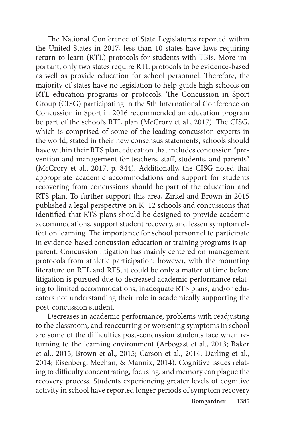The National Conference of State Legislatures reported within the United States in 2017, less than 10 states have laws requiring return-to-learn (RTL) protocols for students with TBIs. More important, only two states require RTL protocols to be evidence-based as well as provide education for school personnel. Therefore, the majority of states have no legislation to help guide high schools on RTL education programs or protocols. The Concussion in Sport Group (CISG) participating in the 5th International Conference on Concussion in Sport in 2016 recommended an education program be part of the school's RTL plan (McCrory et al., 2017). The CISG, which is comprised of some of the leading concussion experts in the world, stated in their new consensus statements, schools should have within their RTS plan, education that includes concussion "prevention and management for teachers, staff, students, and parents" (McCrory et al., 2017, p. 844). Additionally, the CISG noted that appropriate academic accommodations and support for students recovering from concussions should be part of the education and RTS plan. To further support this area, Zirkel and Brown in 2015 published a legal perspective on K–12 schools and concussions that identified that RTS plans should be designed to provide academic accommodations, support student recovery, and lessen symptom effect on learning. The importance for school personnel to participate in evidence-based concussion education or training programs is apparent. Concussion litigation has mainly centered on management protocols from athletic participation; however, with the mounting literature on RTL and RTS, it could be only a matter of time before litigation is pursued due to decreased academic performance relating to limited accommodations, inadequate RTS plans, and/or educators not understanding their role in academically supporting the post-concussion student.

Decreases in academic performance, problems with readjusting to the classroom, and reoccurring or worsening symptoms in school are some of the difficulties post-concussion students face when returning to the learning environment (Arbogast et al., 2013; Baker et al., 2015; Brown et al., 2015; Carson et al., 2014; Darling et al., 2014; Eisenberg, Meehan, & Mannix, 2014). Cognitive issues relating to difficulty concentrating, focusing, and memory can plague the recovery process. Students experiencing greater levels of cognitive activity in school have reported longer periods of symptom recovery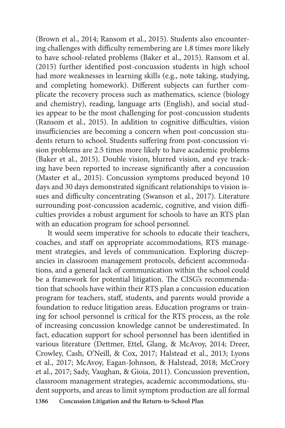(Brown et al., 2014; Ransom et al., 2015). Students also encountering challenges with difficulty remembering are 1.8 times more likely to have school-related problems (Baker et al., 2015). Ransom et al. (2015) further identified post-concussion students in high school had more weaknesses in learning skills (e.g., note taking, studying, and completing homework). Different subjects can further complicate the recovery process such as mathematics, science (biology and chemistry), reading, language arts (English), and social studies appear to be the most challenging for post-concussion students (Ransom et al., 2015). In addition to cognitive difficulties, vision insufficiencies are becoming a concern when post-concussion students return to school. Students suffering from post-concussion vision problems are 2.5 times more likely to have academic problems (Baker et al., 2015). Double vision, blurred vision, and eye tracking have been reported to increase significantly after a concussion (Master et al., 2015). Concussion symptoms produced beyond 10 days and 30 days demonstrated significant relationships to vision issues and difficulty concentrating (Swanson et al., 2017). Literature surrounding post-concussion academic, cognitive, and vision difficulties provides a robust argument for schools to have an RTS plan with an education program for school personnel.

**1386 Concussion Litigation and the Return-to-School Plan** It would seem imperative for schools to educate their teachers, coaches, and staff on appropriate accommodations, RTS management strategies, and levels of communication. Exploring discrepancies in classroom management protocols, deficient accommodations, and a general lack of communication within the school could be a framework for potential litigation. The CISG's recommendation that schools have within their RTS plan a concussion education program for teachers, staff, students, and parents would provide a foundation to reduce litigation areas. Education programs or training for school personnel is critical for the RTS process, as the role of increasing concussion knowledge cannot be underestimated. In fact, education support for school personnel has been identified in various literature (Dettmer, Ettel, Glang, & McAvoy, 2014; Dreer, Crowley, Cash, O'Neill, & Cox, 2017; Halstead et al., 2013; Lyons et al., 2017; McAvoy, Eagan-Johnson, & Halstead, 2018; McCrory et al., 2017; Sady, Vaughan, & Gioia, 2011). Concussion prevention, classroom management strategies, academic accommodations, student supports, and areas to limit symptom production are all formal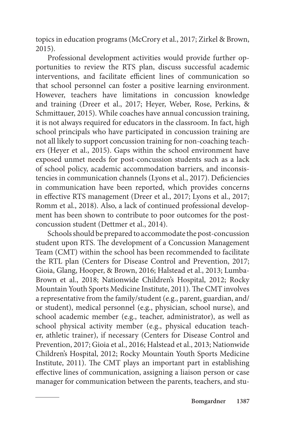topics in education programs (McCrory et al., 2017; Zirkel & Brown, 2015).

Professional development activities would provide further opportunities to review the RTS plan, discuss successful academic interventions, and facilitate efficient lines of communication so that school personnel can foster a positive learning environment. However, teachers have limitations in concussion knowledge and training (Dreer et al., 2017; Heyer, Weber, Rose, Perkins, & Schmittauer, 2015). While coaches have annual concussion training, it is not always required for educators in the classroom. In fact, high school principals who have participated in concussion training are not all likely to support concussion training for non-coaching teachers (Heyer et al., 2015). Gaps within the school environment have exposed unmet needs for post-concussion students such as a lack of school policy, academic accommodation barriers, and inconsistencies in communication channels (Lyons et al., 2017). Deficiencies in communication have been reported, which provides concerns in effective RTS management (Dreer et al., 2017; Lyons et al., 2017; Romm et al., 2018). Also, a lack of continued professional development has been shown to contribute to poor outcomes for the postconcussion student (Dettmer et al., 2014).

Schools should be prepared to accommodate the post-concussion student upon RTS. The development of a Concussion Management Team (CMT) within the school has been recommended to facilitate the RTL plan (Centers for Disease Control and Prevention, 2017; Gioia, Glang, Hooper, & Brown, 2016; Halstead et al., 2013; Lumba-Brown et al., 2018; Nationwide Children's Hospital, 2012; Rocky Mountain Youth Sports Medicine Institute, 2011). The CMT involves a representative from the family/student (e.g., parent, guardian, and/ or student), medical personnel (e.g., physician, school nurse), and school academic member (e.g., teacher, administrator), as well as school physical activity member (e.g., physical education teacher, athletic trainer), if necessary (Centers for Disease Control and Prevention, 2017; Gioia et al., 2016; Halstead et al., 2013; Nationwide Children's Hospital, 2012; Rocky Mountain Youth Sports Medicine Institute, 2011). The CMT plays an important part in establishing effective lines of communication, assigning a liaison person or case manager for communication between the parents, teachers, and stu-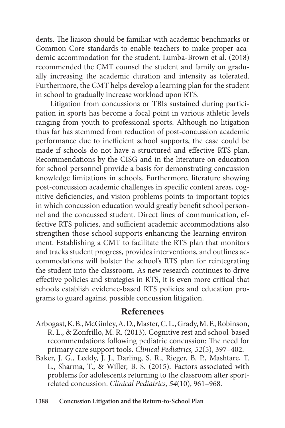dents. The liaison should be familiar with academic benchmarks or Common Core standards to enable teachers to make proper academic accommodation for the student. Lumba-Brown et al. (2018) recommended the CMT counsel the student and family on gradually increasing the academic duration and intensity as tolerated. Furthermore, the CMT helps develop a learning plan for the student in school to gradually increase workload upon RTS.

 Litigation from concussions or TBIs sustained during participation in sports has become a focal point in various athletic levels ranging from youth to professional sports. Although no litigation thus far has stemmed from reduction of post-concussion academic performance due to inefficient school supports, the case could be made if schools do not have a structured and effective RTS plan. Recommendations by the CISG and in the literature on education for school personnel provide a basis for demonstrating concussion knowledge limitations in schools. Furthermore, literature showing post-concussion academic challenges in specific content areas, cognitive deficiencies, and vision problems points to important topics in which concussion education would greatly benefit school personnel and the concussed student. Direct lines of communication, effective RTS policies, and sufficient academic accommodations also strengthen those school supports enhancing the learning environment. Establishing a CMT to facilitate the RTS plan that monitors and tracks student progress, provides interventions, and outlines accommodations will bolster the school's RTS plan for reintegrating the student into the classroom. As new research continues to drive effective policies and strategies in RTS, it is even more critical that schools establish evidence-based RTS policies and education programs to guard against possible concussion litigation.

## **References**

Arbogast, K. B., McGinley, A. D., Master, C. L., Grady, M. F., Robinson, R. L., & Zonfrillo, M. R. (2013). Cognitive rest and school-based recommendations following pediatric concussion: The need for primary care support tools. *Clinical Pediatrics, 52*(5), 397–402.

Baker, J. G., Leddy, J. J., Darling, S. R., Rieger, B. P., Mashtare, T. L., Sharma, T., & Willer, B. S. (2015). Factors associated with problems for adolescents returning to the classroom after sportrelated concussion. *Clinical Pediatrics, 54*(10), 961–968.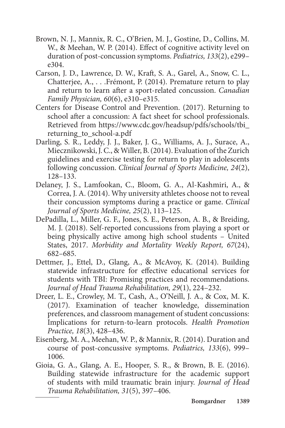- Brown, N. J., Mannix, R. C., O'Brien, M. J., Gostine, D., Collins, M. W., & Meehan, W. P. (2014). Effect of cognitive activity level on duration of post-concussion symptoms. *Pediatrics, 133*(2), e299– e304.
- Carson, J. D., Lawrence, D. W., Kraft, S. A., Garel, A., Snow, C. L., Chatterjee, A., . . .Frémont, P. (2014). Premature return to play and return to learn after a sport-related concussion. *Canadian Family Physician, 60*(6), e310–e315.
- Centers for Disease Control and Prevention. (2017). Returning to school after a concussion: A fact sheet for school professionals. Retrieved from [https://www.cdc.gov/headsup/pdfs/schools/tbi\\_](https://www.cdc.gov/headsup/pdfs/schools/tbi_returning_to_school-a.pdf) returning to school-a.pdf
- Darling, S. R., Leddy, J. J., Baker, J. G., Williams, A. J., Surace, A., Miecznikowski, J. C., & Willer, B. (2014). Evaluation of the Zurich guidelines and exercise testing for return to play in adolescents following concussion. *Clinical Journal of Sports Medicine, 24*(2), 128–133.
- Delaney, J. S., Lamfookan, C., Bloom, G. A., Al-Kashmiri, A., & Correa, J. A. (2014). Why university athletes choose not to reveal their concussion symptoms during a practice or game. *Clinical Journal of Sports Medicine, 25*(2), 113–125.
- DePadilla, L., Miller, G. F., Jones, S. E., Peterson, A. B., & Breiding, M. J. (2018). Self-reported concussions from playing a sport or being physically active among high school students – United States, 2017. *Morbidity and Mortality Weekly Report, 67*(24), 682–685.
- Dettmer, J., Ettel, D., Glang, A., & McAvoy, K. (2014). Building statewide infrastructure for effective educational services for students with TBI: Promising practices and recommendations. *Journal of Head Trauma Rehabilitation, 29*(1), 224–232.
- Dreer, L. E., Crowley, M. T., Cash, A., O'Neill, J. A., & Cox, M. K. (2017). Examination of teacher knowledge, dissemination preferences, and classroom management of student concussions: Implications for return-to-learn protocols. *Health Promotion Practice, 18*(3), 428–436.
- Eisenberg, M. A., Meehan, W. P., & Mannix, R. (2014). Duration and course of post-concussive symptoms. *Pediatrics, 133*(6), 999– 1006.
- Gioia, G. A., Glang, A. E., Hooper, S. R., & Brown, B. E. (2016). Building statewide infrastructure for the academic support of students with mild traumatic brain injury. *Journal of Head Trauma Rehabilitation, 31*(5), 397–406.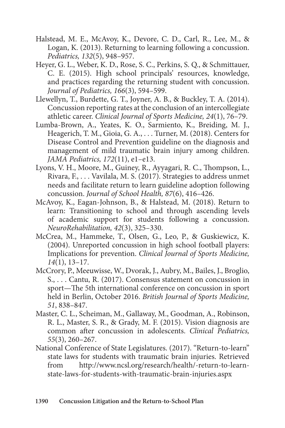- Halstead, M. E., McAvoy, K., Devore, C. D., Carl, R., Lee, M., & Logan, K. (2013). Returning to learning following a concussion. *Pediatrics, 132*(5), 948–957.
- Heyer, G. L., Weber, K. D., Rose, S. C., Perkins, S. Q., & Schmittauer, C. E. (2015). High school principals' resources, knowledge, and practices regarding the returning student with concussion. *Journal of Pediatrics, 166*(3), 594–599.
- Llewellyn, T., Burdette, G. T., Joyner, A. B., & Buckley, T. A. (2014). Concussion reporting rates at the conclusion of an intercollegiate athletic career. *Clinical Journal of Sports Medicine, 24*(1), 76–79.
- Lumba-Brown, A., Yeates, K. O., Sarmiento, K., Breiding, M. J., Heagerich, T. M., Gioia, G. A., . . . Turner, M. (2018). Centers for Disease Control and Prevention guideline on the diagnosis and management of mild traumatic brain injury among children. *JAMA Pediatrics, 172*(11), e1–e13.
- Lyons, V. H., Moore, M., Guiney, R., Ayyagari, R. C., Thompson, L., Rivara, F., . . . Vavilala, M. S. (2017). Strategies to address unmet needs and facilitate return to learn guideline adoption following concussion. *Journal of School Health, 87*(6), 416–426.
- McAvoy, K., Eagan-Johnson, B., & Halstead, M. (2018). Return to learn: Transitioning to school and through ascending levels of academic support for students following a concussion. *NeuroRehabilitation, 42*(3), 325–330.
- McCrea, M., Hammeke, T., Olsen, G., Leo, P., & Guskiewicz, K. (2004). Unreported concussion in high school football players: Implications for prevention. *Clinical Journal of Sports Medicine, 14*(1), 13–17.
- McCrory, P., Meeuwisse, W., Dvorak, J., Aubry, M., Bailes, J., Broglio, S., . . . Cantu, R. (2017). Consensus statement on concussion in sport—The 5th international conference on concussion in sport held in Berlin, October 2016. *British Journal of Sports Medicine, 51*, 838–847.
- Master, C. L., Scheiman, M., Gallaway, M., Goodman, A., Robinson, R. L., Master, S. R., & Grady, M. F. (2015). Vision diagnosis are common after concussion in adolescents. *Clinical Pediatrics, 55*(3), 260–267.
- National Conference of State Legislatures. (2017). "Return-to-learn" state laws for students with traumatic brain injuries. Retrieved from [http://www.ncsl.org/research/health/-return-to-learn](http://www.ncsl.org/research/health/-return-to-learn-state-laws-for-students-with-traumatic-brain-injuries.aspx)[state-laws-for-students-with-traumatic-brain-injuries.aspx](http://www.ncsl.org/research/health/-return-to-learn-state-laws-for-students-with-traumatic-brain-injuries.aspx)